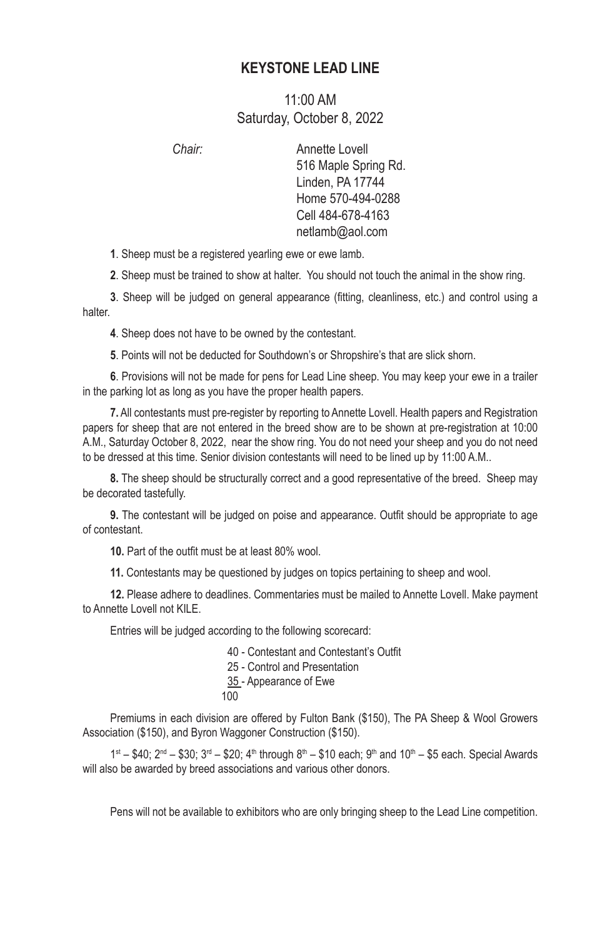## **KEYSTONE LEAD LINE**

## 11:00 AM Saturday, October 8, 2022

*Chair:* Annette Lovell 516 Maple Spring Rd. Linden, PA 17744 Home 570-494-0288 Cell 484-678-4163 netlamb@aol.com

**1**. Sheep must be a registered yearling ewe or ewe lamb.

**2**. Sheep must be trained to show at halter. You should not touch the animal in the show ring.

**3**. Sheep will be judged on general appearance (fitting, cleanliness, etc.) and control using a halter.

**4**. Sheep does not have to be owned by the contestant.

**5**. Points will not be deducted for Southdown's or Shropshire's that are slick shorn.

**6**. Provisions will not be made for pens for Lead Line sheep. You may keep your ewe in a trailer in the parking lot as long as you have the proper health papers.

**7.** All contestants must pre-register by reporting to Annette Lovell. Health papers and Registration papers for sheep that are not entered in the breed show are to be shown at pre-registration at 10:00 A.M., Saturday October 8, 2022, near the show ring. You do not need your sheep and you do not need to be dressed at this time. Senior division contestants will need to be lined up by 11:00 A.M..

**8.** The sheep should be structurally correct and a good representative of the breed. Sheep may be decorated tastefully.

**9.** The contestant will be judged on poise and appearance. Outfit should be appropriate to age of contestant.

**10.** Part of the outfit must be at least 80% wool.

**11.** Contestants may be questioned by judges on topics pertaining to sheep and wool.

**12.** Please adhere to deadlines. Commentaries must be mailed to Annette Lovell. Make payment to Annette Lovell not KILF

Entries will be judged according to the following scorecard:

40 ‑ Contestant and Contestant's Outfit

25 - Control and Presentation

35 - Appearance of Ewe

100

Premiums in each division are offered by Fulton Bank (\$150), The PA Sheep & Wool Growers Association (\$150), and Byron Waggoner Construction (\$150).

 $1^{st} - $40$ ;  $2^{nd} - $30$ ;  $3^{rd} - $20$ ;  $4^{th}$  through  $8^{th} - $10$  each;  $9^{th}$  and  $10^{th} - $5$  each. Special Awards will also be awarded by breed associations and various other donors.

Pens will not be available to exhibitors who are only bringing sheep to the Lead Line competition.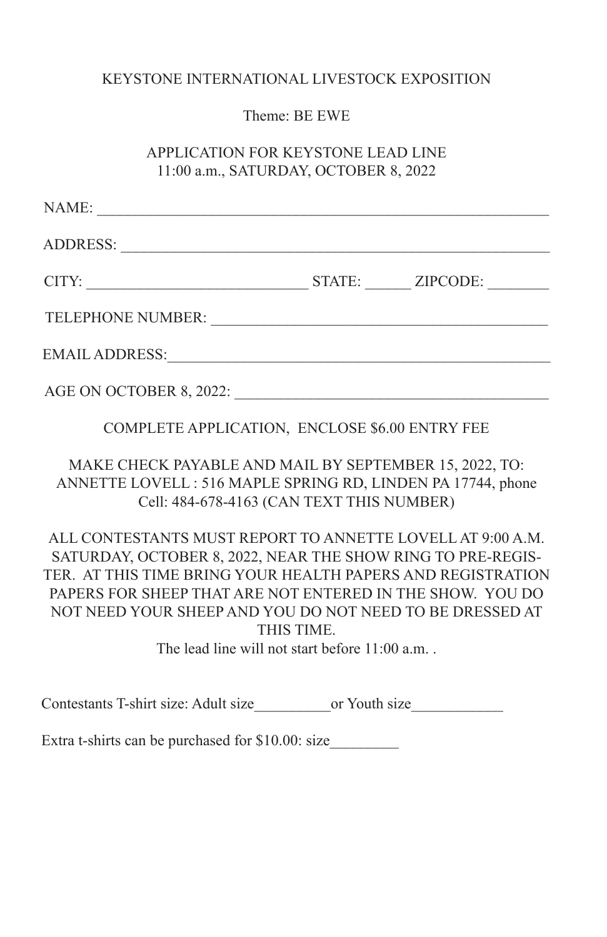## KEYSTONE INTERNATIONAL LIVESTOCK EXPOSITION

Theme: BE EWE

APPLICATION FOR KEYSTONE LEAD LINE 11:00 a.m., SATURDAY, OCTOBER 8, 2022

| NAME:                   |                 |  |
|-------------------------|-----------------|--|
| <b>ADDRESS:</b>         |                 |  |
| CITY:                   | STATE: ZIPCODE: |  |
| TELEPHONE NUMBER:       |                 |  |
| <b>EMAIL ADDRESS:</b>   |                 |  |
| AGE ON OCTOBER 8, 2022: |                 |  |

COMPLETE APPLICATION, ENCLOSE \$6.00 ENTRY FEE

MAKE CHECK PAYABLE AND MAIL BY SEPTEMBER 15, 2022, TO: ANNETTE LOVELL : 516 MAPLE SPRING RD, LINDEN PA 17744, phone Cell: 484-678-4163 (CAN TEXT THIS NUMBER)

ALL CONTESTANTS MUST REPORT TO ANNETTE LOVELL AT 9:00 A.M. SATURDAY, OCTOBER 8, 2022, NEAR THE SHOW RING TO PRE-REGIS-TER. AT THIS TIME BRING YOUR HEALTH PAPERS AND REGISTRATION PAPERS FOR SHEEP THAT ARE NOT ENTERED IN THE SHOW. YOU DO NOT NEED YOUR SHEEP AND YOU DO NOT NEED TO BE DRESSED AT THIS TIME.

The lead line will not start before 11:00 a.m. .

Contestants T-shirt size: Adult size \_\_\_\_\_\_\_\_\_\_\_\_\_\_\_or Youth size

Extra t-shirts can be purchased for \$10.00: size